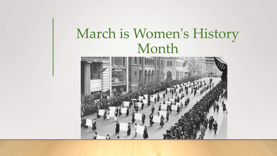# March is Women's History Month

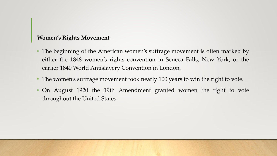#### **Women's Rights Movement**

- The beginning of the American women's suffrage movement is often marked by either the 1848 women's rights convention in Seneca Falls, New York, or the earlier 1840 World Antislavery Convention in London.
- The women's suffrage movement took nearly 100 years to win the right to vote.
- On August 1920 the 19th Amendment granted women the right to vote throughout the United States.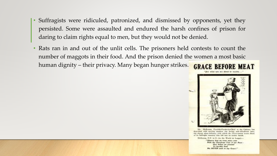- Suffragists were ridiculed, patronized, and dismissed by opponents, yet they persisted. Some were assaulted and endured the harsh confines of prison for daring to claim rights equal to men, but they would not be denied.
- Rats ran in and out of the unlit cells. The prisoners held contests to count the number of maggots in their food. And the prison denied the women a most basic human dignity – their privacy. Many began hunger strikes.**GRACE BEFORE MEAT**



Mr. McKeena, Foreithe-Ferder-in-Chief to the Cabiner, has described with moving candour the loving and obivalvious care, the abnust pleas delicacy, with which the Government treats there of its Selfragest memics who full into its tender hands.

McKaona, E.F. in C. (in the World at Largets-

"Observe hear are treat every case With the Chicalvess Test of our Race-How before use proceed To forcibly feed, We NEVER and to my Grace!"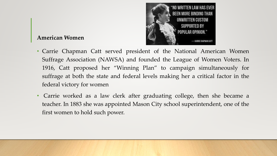

### **American Women**

- Carrie Chapman Catt served president of the National American Women Suffrage Association (NAWSA) and founded the League of Women Voters. In 1916, Catt proposed her "Winning Plan" to campaign simultaneously for suffrage at both the state and federal levels making her a critical factor in the federal victory for women
- Carrie worked as a law clerk after graduating college, then she became a teacher. In 1883 she was appointed Mason City school superintendent, one of the first women to hold such power.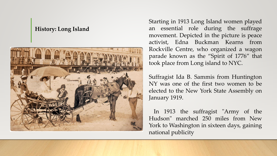#### **History: Long Island**



Starting in 1913 Long Island women played an essential role during the suffrage movement. Depicted in the picture is peace activist, Edna Buckman Kearns from Rockville Centre, who organized a wagon parade known as the "Spirit of 1776" that took place from Long island to NYC.

Suffragist Ida B. Sammis from Huntington NY was one of the first two women to be elected to the New York State Assembly on January 1919.

In 1913 the suffragist "Army of the Hudson" marched 250 miles from New York to Washington in sixteen days, gaining national publicity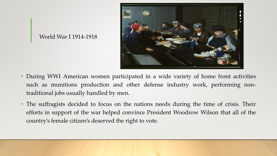

#### World War I 1914-1918

- During WWI American women participated in a wide variety of home front activities such as munitions production and other defense industry work, performing nontraditional jobs usually handled by men.
- The suffragists decided to focus on the nations needs during the time of crisis. Their efforts in support of the war helped convince President Woodrow Wilson that all of the country's female citizen's deserved the right to vote.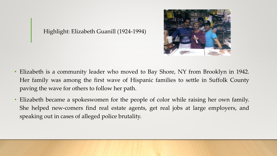

Highlight: Elizabeth Guanill (1924-1994)

- Elizabeth is a community leader who moved to Bay Shore, NY from Brooklyn in 1942. Her family was among the first wave of Hispanic families to settle in Suffolk County paving the wave for others to follow her path.
- Elizabeth became a spokeswomen for the people of color while raising her own family. She helped new-comers find real estate agents, get real jobs at large employers, and speaking out in cases of alleged police brutality.